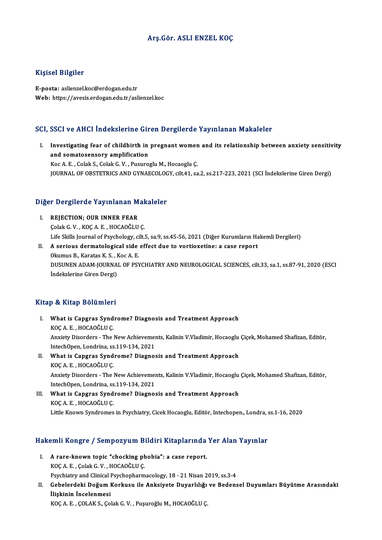## Arş.Gör. ASLI ENZEL KOÇ

## Kişisel Bilgiler

E-posta: aslienzel.koc@erdogan.edu.tr Web: https://avesis.erdogan.edu.tr/aslienzel.koc

## SCI, SSCI ve AHCI İndekslerine Giren Dergilerde Yayınlanan Makaleler

I. I. Investigating fear of childbirth in pregnant women and its relationship between anxiety sensitivity<br>I. Investigating fear of childbirth in pregnant women and its relationship between anxiety sensitivity<br>I. And somate Investigating fear of childbirth in<br>and somatosensory amplification Investigating fear of childbirth in pregnant women<br>and somatosensory amplification<br>Koc A. E. , Colak S., Colak G. V. , Pusuroglu M., Hocaoglu Ç.<br>JOUPNAL OF OBSTETPLES AND CYNAECOLOCY silt 4.1 se and somatosensory amplification<br>Koc A. E. , Colak S., Colak G. V. , Pusuroglu M., Hocaoglu Ç.<br>JOURNAL OF OBSTETRICS AND GYNAECOLOGY, cilt.41, sa.2, ss.217-223, 2021 (SCI İndekslerine Giren Dergi)

# JOOKNAL OF OBSTETKICS AND GTNAECOLOG<br>Diğer Dergilerde Yayınlanan Makaleler

- Iğer Dergilerde Yayınlanan M<br>I. REJECTION; OUR INNER FEAR<br>Colak S. V. YOSA E. HOSAQĞLU I. REJECTION; OUR INNER FEAR<br>Colak G. V., KOÇ A. E., HOCAOĞLU C. REJECTION; OUR INNER FEAR<br>Çolak G. V. , KOÇ A. E. , HOCAOĞLU Ç.<br>Life Skills Journal of Psychology, cilt.5, sa.9, ss.45-56, 2021 (Diğer Kurumların Hakemli Dergileri)<br>A soriaus dermatalegisel side effect due te vertievetine:
- II. A serious dermatological side effect due to vortioxetine: a case report Okumus B., Karatas K. S., Koc A. E. Life Skills Journal of Psychology, ci<br>A serious dermatological side<br>Okumus B., Karatas K. S. , Koc A. E.<br>DUSUNEN ADAM JOURNAL OF PSY DUSUNENADAM-JOURNALOF PSYCHIATRYANDNEUROLOGICAL SCIENCES, cilt.33, sa.1, ss.87-91,2020 (ESCI İndekslerine Giren Dergi)

### Kitap & Kitap Bölümleri

- Itap & Kitap Bölümleri<br>I. What is Capgras Syndrome? Diagnosis and Treatment Approach<br>KOCA E. HOCAQČLLC what is Capgras Synd<br>KOÇ A. E., HOCAOĞLU Ç.<br>Anvisty Disorders, The L What is Capgras Syndrome? Diagnosis and Treatment Approach<br>KOÇ A. E. , HOCAOĞLU Ç.<br>Anxiety Disorders - The New Achievements, Kalinin V.Vladimir, Hocaoglu Çiçek, Mohamed Shafizan, Editör,<br>IntechOpen, Londrina, 88,119,124, 2 KOÇ A. E. , HOCAOĞLU Ç.<br>Anxiety Disorders - The New Achievemen<br>IntechOpen, Londrina, ss.119-134, 2021<br>What is Gangres Syndrome? Disgres Anxiety Disorders - The New Achievements, Kalinin V.Vladimir, Hocaoglu<br>IntechOpen, Londrina, ss.119-134, 2021<br>II. What is Capgras Syndrome? Diagnosis and Treatment Approach<br>VOC A E HOCAOČULC
- IntechOpen, Londrina, ss<br>What is Capgras Synd<br>KOÇ A. E. , HOCAOĞLU Ç.<br>Anvisty Disorders, The l What is Capgras Syndrome? Diagnosis and Treatment Approach<br>KOÇ A. E. , HOCAOĞLU Ç.<br>Anxiety Disorders - The New Achievements, Kalinin V.Vladimir, Hocaoglu Çiçek, Mohamed Shafizan, Editör,<br>IntechOpen, Londrina, 65,119,124, 2 KOÇ A. E. , HOCAOĞLU Ç.<br>Anxiety Disorders - The New Achievemen<br>IntechOpen, Londrina, ss.119-134, 2021<br>What is Gangres Syndrome? Disspes Anxiety Disorders - The New Achievements, Kalinin V.Vladimir, Hocaoglu<br>IntechOpen, Londrina, ss.119-134, 2021<br>III. What is Capgras Syndrome? Diagnosis and Treatment Approach<br>VOCA E HOCAOČULC
- IntechOpen, Londrina, ss.119-134, 2021<br>III. What is Capgras Syndrome? Diagnosis and Treatment Approach<br>KOÇ A. E. , HOCAOĞLU Ç. Little Known Syndromes in Psychiatry, Cicek Hocaoglu, Editör, Intechopen., Londra, ss.1-16, 2020

# Litue Known Syndromes in Psychiatry, Cicek Hocaogiu, Editor, Intechopen., Londra, Statemli Kongre<br>Hakemli Kongre / Sempozyum Bildiri Kitaplarında Yer Alan Yayınlar

- akemli Kongre / Sempozyum Bildiri Kitaplarında<br>I. A rare-known topic "chocking phobia": a case report.<br>*VOCA E Colak C V. HOCAQ*ČIJI*C* I. A rare-known topic "chocking phobia": a case report.<br>KOÇ A.E., Çolak G.V., HOCAOĞLU Ç. A rare-known topic "chocking phobia": a case report.<br>KOÇ A. E. , Çolak G. V. , HOCAOĞLU Ç.<br>Psychiatry and Clinical Psychopharmacology, 18 - 21 Nisan 2019, ss.3-4<br>Cobelendeki Değum Kerkuey, ile Anksiyete Duyerlılığı ve Bede
- KOÇ A. E. , Çolak G. V. , HOCAOĞLU Ç.<br>Psychiatry and Clinical Psychopharmacology, 18 21 Nisan 2019, ss.3-4<br>II. Gebelerdeki Doğum Korkusu ile Anksiyete Duyarlılığı ve Bedensel Duyumları Büyütme Arasındaki<br>İliskinin İn Psychiatry and Clinical I<br>Gebelerdeki Doğum I<br>İlişkinin İncelenmesi<br>KOCA E. COLAK S. Co Gebelerdeki Doğum Korkusu ile Anksiyete Duyarlılığı<br>İlişkinin İncelenmesi<br>KOÇ A. E. , ÇOLAK S., Çolak G. V. , Puşuroğlu M., HOCAOĞLU Ç.